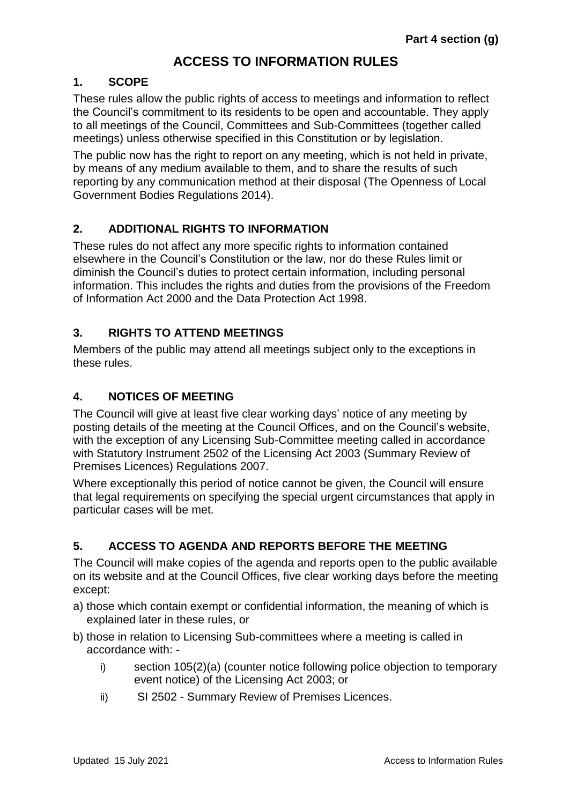# **ACCESS TO INFORMATION RULES**

### **1. SCOPE**

These rules allow the public rights of access to meetings and information to reflect the Council's commitment to its residents to be open and accountable. They apply to all meetings of the Council, Committees and Sub-Committees (together called meetings) unless otherwise specified in this Constitution or by legislation.

The public now has the right to report on any meeting, which is not held in private, by means of any medium available to them, and to share the results of such reporting by any communication method at their disposal (The Openness of Local Government Bodies Regulations 2014).

# **2. ADDITIONAL RIGHTS TO INFORMATION**

These rules do not affect any more specific rights to information contained elsewhere in the Council's Constitution or the law, nor do these Rules limit or diminish the Council's duties to protect certain information, including personal information. This includes the rights and duties from the provisions of the Freedom of Information Act 2000 and the Data Protection Act 1998.

### **3. RIGHTS TO ATTEND MEETINGS**

Members of the public may attend all meetings subject only to the exceptions in these rules.

# **4. NOTICES OF MEETING**

The Council will give at least five clear working days' notice of any meeting by posting details of the meeting at the Council Offices, and on the Council's website, with the exception of any Licensing Sub-Committee meeting called in accordance with Statutory Instrument 2502 of the Licensing Act 2003 (Summary Review of Premises Licences) Regulations 2007.

Where exceptionally this period of notice cannot be given, the Council will ensure that legal requirements on specifying the special urgent circumstances that apply in particular cases will be met.

#### **5. ACCESS TO AGENDA AND REPORTS BEFORE THE MEETING**

The Council will make copies of the agenda and reports open to the public available on its website and at the Council Offices, five clear working days before the meeting except:

- a) those which contain exempt or confidential information, the meaning of which is explained later in these rules, or
- b) those in relation to Licensing Sub-committees where a meeting is called in accordance with:
	- i) section 105(2)(a) (counter notice following police objection to temporary event notice) of the Licensing Act 2003; or
	- ii) SI 2502 Summary Review of Premises Licences.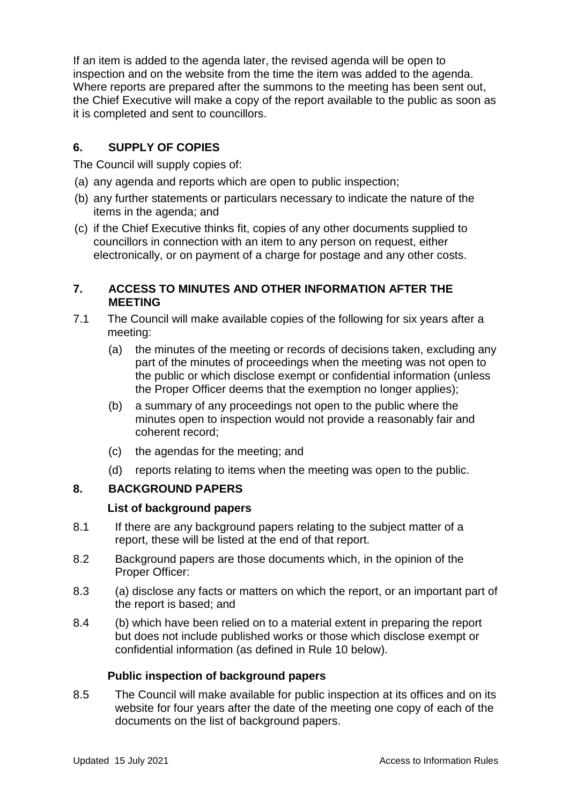If an item is added to the agenda later, the revised agenda will be open to inspection and on the website from the time the item was added to the agenda. Where reports are prepared after the summons to the meeting has been sent out, the Chief Executive will make a copy of the report available to the public as soon as it is completed and sent to councillors.

# **6. SUPPLY OF COPIES**

The Council will supply copies of:

- (a) any agenda and reports which are open to public inspection;
- (b) any further statements or particulars necessary to indicate the nature of the items in the agenda; and
- (c) if the Chief Executive thinks fit, copies of any other documents supplied to councillors in connection with an item to any person on request, either electronically, or on payment of a charge for postage and any other costs.

# **7. ACCESS TO MINUTES AND OTHER INFORMATION AFTER THE MEETING**

- 7.1 The Council will make available copies of the following for six years after a meeting:
	- (a) the minutes of the meeting or records of decisions taken, excluding any part of the minutes of proceedings when the meeting was not open to the public or which disclose exempt or confidential information (unless the Proper Officer deems that the exemption no longer applies);
	- (b) a summary of any proceedings not open to the public where the minutes open to inspection would not provide a reasonably fair and coherent record;
	- (c) the agendas for the meeting; and
	- (d) reports relating to items when the meeting was open to the public.

# **8. BACKGROUND PAPERS**

# **List of background papers**

- 8.1 If there are any background papers relating to the subject matter of a report, these will be listed at the end of that report.
- 8.2 Background papers are those documents which, in the opinion of the Proper Officer:
- 8.3 (a) disclose any facts or matters on which the report, or an important part of the report is based; and
- 8.4 (b) which have been relied on to a material extent in preparing the report but does not include published works or those which disclose exempt or confidential information (as defined in Rule 10 below).

# **Public inspection of background papers**

8.5 The Council will make available for public inspection at its offices and on its website for four years after the date of the meeting one copy of each of the documents on the list of background papers.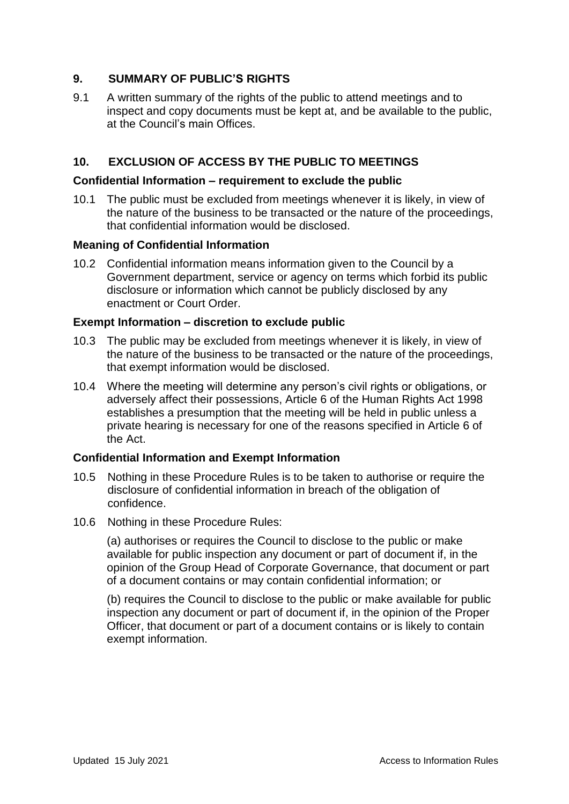# **9. SUMMARY OF PUBLIC'S RIGHTS**

9.1 A written summary of the rights of the public to attend meetings and to inspect and copy documents must be kept at, and be available to the public, at the Council's main Offices.

### **10. EXCLUSION OF ACCESS BY THE PUBLIC TO MEETINGS**

#### **Confidential Information – requirement to exclude the public**

10.1 The public must be excluded from meetings whenever it is likely, in view of the nature of the business to be transacted or the nature of the proceedings, that confidential information would be disclosed.

#### **Meaning of Confidential Information**

10.2 Confidential information means information given to the Council by a Government department, service or agency on terms which forbid its public disclosure or information which cannot be publicly disclosed by any enactment or Court Order.

#### **Exempt Information – discretion to exclude public**

- 10.3 The public may be excluded from meetings whenever it is likely, in view of the nature of the business to be transacted or the nature of the proceedings, that exempt information would be disclosed.
- 10.4 Where the meeting will determine any person's civil rights or obligations, or adversely affect their possessions, Article 6 of the Human Rights Act 1998 establishes a presumption that the meeting will be held in public unless a private hearing is necessary for one of the reasons specified in Article 6 of the Act.

#### **Confidential Information and Exempt Information**

- 10.5 Nothing in these Procedure Rules is to be taken to authorise or require the disclosure of confidential information in breach of the obligation of confidence.
- 10.6 Nothing in these Procedure Rules:

(a) authorises or requires the Council to disclose to the public or make available for public inspection any document or part of document if, in the opinion of the Group Head of Corporate Governance, that document or part of a document contains or may contain confidential information; or

(b) requires the Council to disclose to the public or make available for public inspection any document or part of document if, in the opinion of the Proper Officer, that document or part of a document contains or is likely to contain exempt information.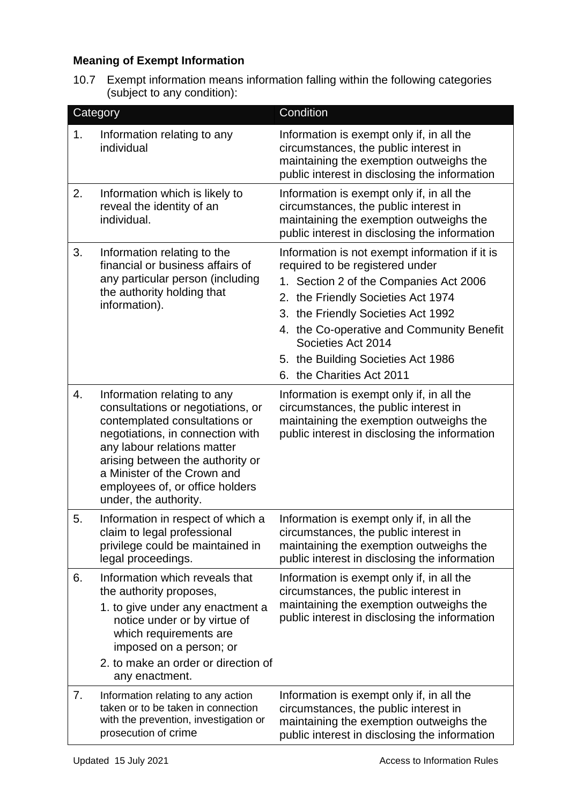# **Meaning of Exempt Information**

10.7 Exempt information means information falling within the following categories (subject to any condition):

|    | Category                                                                                                                                                                                                                                                                                            | Condition                                                                                                                                                                                                                                                                                                                                     |
|----|-----------------------------------------------------------------------------------------------------------------------------------------------------------------------------------------------------------------------------------------------------------------------------------------------------|-----------------------------------------------------------------------------------------------------------------------------------------------------------------------------------------------------------------------------------------------------------------------------------------------------------------------------------------------|
| 1. | Information relating to any<br>individual                                                                                                                                                                                                                                                           | Information is exempt only if, in all the<br>circumstances, the public interest in<br>maintaining the exemption outweighs the<br>public interest in disclosing the information                                                                                                                                                                |
| 2. | Information which is likely to<br>reveal the identity of an<br>individual.                                                                                                                                                                                                                          | Information is exempt only if, in all the<br>circumstances, the public interest in<br>maintaining the exemption outweighs the<br>public interest in disclosing the information                                                                                                                                                                |
| 3. | Information relating to the<br>financial or business affairs of<br>any particular person (including<br>the authority holding that<br>information).                                                                                                                                                  | Information is not exempt information if it is<br>required to be registered under<br>1. Section 2 of the Companies Act 2006<br>2. the Friendly Societies Act 1974<br>3. the Friendly Societies Act 1992<br>4. the Co-operative and Community Benefit<br>Societies Act 2014<br>5. the Building Societies Act 1986<br>6. the Charities Act 2011 |
| 4. | Information relating to any<br>consultations or negotiations, or<br>contemplated consultations or<br>negotiations, in connection with<br>any labour relations matter<br>arising between the authority or<br>a Minister of the Crown and<br>employees of, or office holders<br>under, the authority. | Information is exempt only if, in all the<br>circumstances, the public interest in<br>maintaining the exemption outweighs the<br>public interest in disclosing the information                                                                                                                                                                |
| 5. | Information in respect of which a<br>claim to legal professional<br>privilege could be maintained in<br>legal proceedings.                                                                                                                                                                          | Information is exempt only if, in all the<br>circumstances, the public interest in<br>maintaining the exemption outweighs the<br>public interest in disclosing the information                                                                                                                                                                |
| 6. | Information which reveals that<br>the authority proposes,<br>1. to give under any enactment a<br>notice under or by virtue of<br>which requirements are<br>imposed on a person; or<br>2. to make an order or direction of<br>any enactment.                                                         | Information is exempt only if, in all the<br>circumstances, the public interest in<br>maintaining the exemption outweighs the<br>public interest in disclosing the information                                                                                                                                                                |
| 7. | Information relating to any action<br>taken or to be taken in connection<br>with the prevention, investigation or<br>prosecution of crime                                                                                                                                                           | Information is exempt only if, in all the<br>circumstances, the public interest in<br>maintaining the exemption outweighs the<br>public interest in disclosing the information                                                                                                                                                                |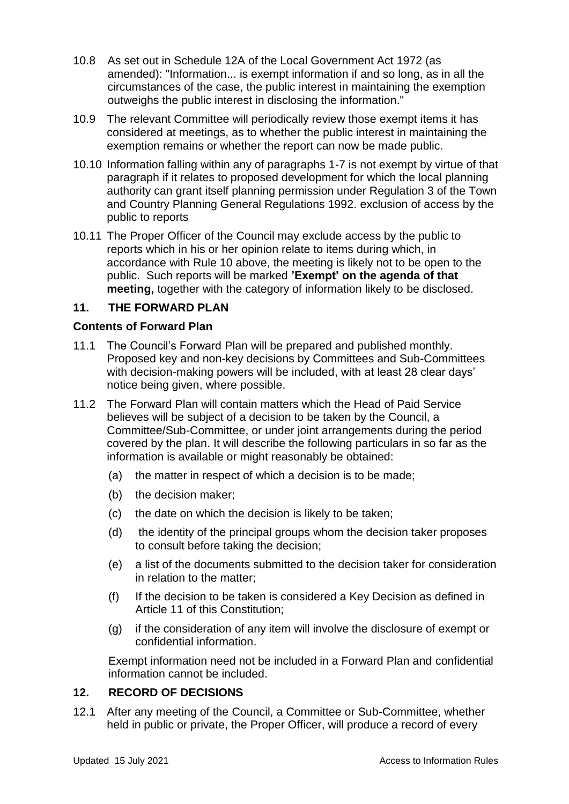- 10.8 As set out in Schedule 12A of the Local Government Act 1972 (as amended): "Information... is exempt information if and so long, as in all the circumstances of the case, the public interest in maintaining the exemption outweighs the public interest in disclosing the information."
- 10.9 The relevant Committee will periodically review those exempt items it has considered at meetings, as to whether the public interest in maintaining the exemption remains or whether the report can now be made public.
- 10.10 Information falling within any of paragraphs 1-7 is not exempt by virtue of that paragraph if it relates to proposed development for which the local planning authority can grant itself planning permission under Regulation 3 of the Town and Country Planning General Regulations 1992. exclusion of access by the public to reports
- 10.11 The Proper Officer of the Council may exclude access by the public to reports which in his or her opinion relate to items during which, in accordance with Rule 10 above, the meeting is likely not to be open to the public. Such reports will be marked **'Exempt' on the agenda of that meeting,** together with the category of information likely to be disclosed.

### **11. THE FORWARD PLAN**

#### **Contents of Forward Plan**

- 11.1 The Council's Forward Plan will be prepared and published monthly. Proposed key and non-key decisions by Committees and Sub-Committees with decision-making powers will be included, with at least 28 clear days' notice being given, where possible.
- 11.2 The Forward Plan will contain matters which the Head of Paid Service believes will be subject of a decision to be taken by the Council, a Committee/Sub-Committee, or under joint arrangements during the period covered by the plan. It will describe the following particulars in so far as the information is available or might reasonably be obtained:
	- (a) the matter in respect of which a decision is to be made;
	- (b) the decision maker;
	- (c) the date on which the decision is likely to be taken;
	- (d) the identity of the principal groups whom the decision taker proposes to consult before taking the decision;
	- (e) a list of the documents submitted to the decision taker for consideration in relation to the matter;
	- (f) If the decision to be taken is considered a Key Decision as defined in Article 11 of this Constitution;
	- (g) if the consideration of any item will involve the disclosure of exempt or confidential information.

Exempt information need not be included in a Forward Plan and confidential information cannot be included.

#### **12. RECORD OF DECISIONS**

12.1 After any meeting of the Council, a Committee or Sub-Committee, whether held in public or private, the Proper Officer, will produce a record of every